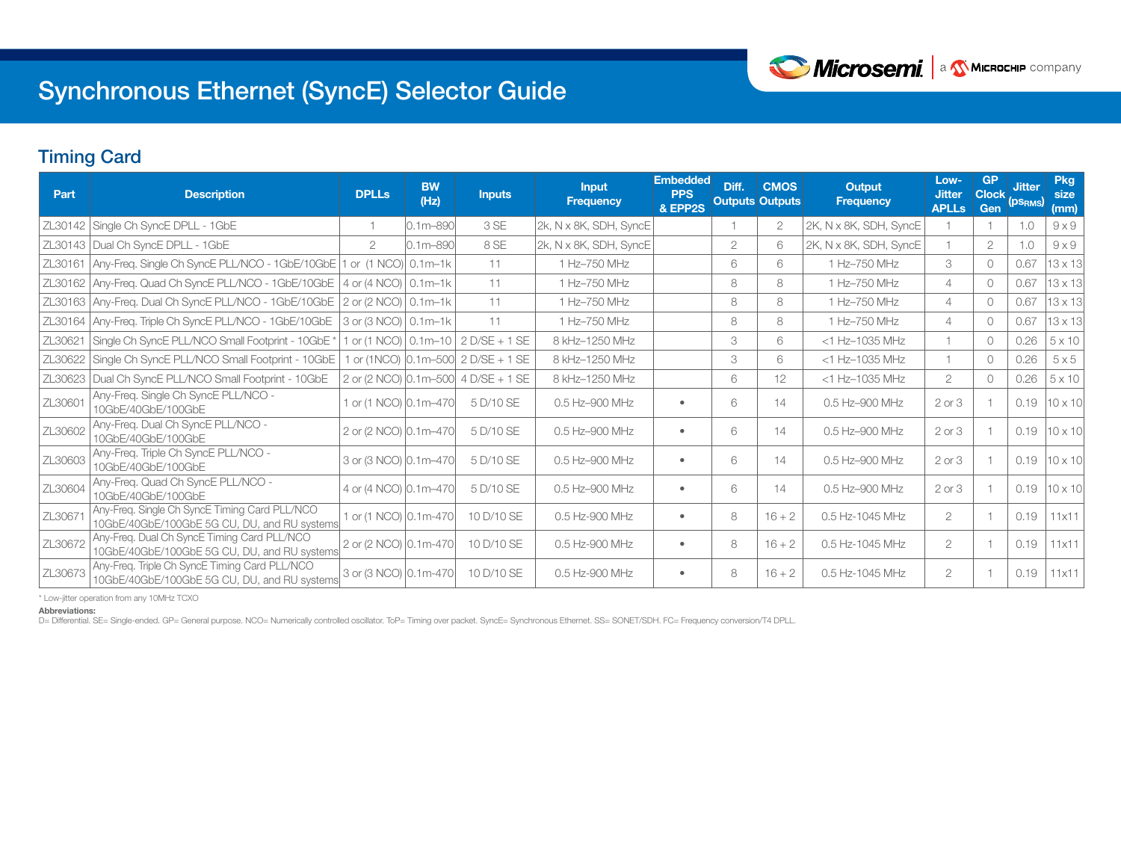

# Synchronous Ethernet (SyncE) Selector Guide

## Timing Card

| Part    | <b>Description</b>                                                                            | <b>DPLLs</b>                   | <b>BW</b><br>(Hz) | <b>Inputs</b>                                       | <b>Input</b><br><b>Frequency</b> | <b>Embedded</b><br><b>PPS</b><br>& EPP2S | Diff. | <b>CMOS</b><br><b>Outputs Outputs</b> | <b>Output</b><br><b>Frequency</b> | Low-<br><b>Jitter</b><br><b>APLLs</b> | <b>GP</b><br><b>Clock</b><br>Gen | <b>Jitter</b><br>(PS <sub>RMS</sub> ) | <b>Pkg</b><br>size<br>(mm) |
|---------|-----------------------------------------------------------------------------------------------|--------------------------------|-------------------|-----------------------------------------------------|----------------------------------|------------------------------------------|-------|---------------------------------------|-----------------------------------|---------------------------------------|----------------------------------|---------------------------------------|----------------------------|
|         | ZL30142 Single Ch SyncE DPLL - 1GbE                                                           |                                | $0.1m - 890$      | 3 SE                                                | 2k, N x 8K, SDH, SyncE           |                                          |       | $\overline{2}$                        | 2K, N x 8K, SDH, SyncE            |                                       |                                  | 1.0                                   | $9 \times 9$               |
|         | ZL30143   Dual Ch SyncE DPLL - 1GbE                                                           | $\overline{2}$                 | $0.1m - 890$      | 8 SE                                                | 2k, N x 8K, SDH, SyncE           |                                          | 2     | 6                                     | 2K, N x 8K, SDH, SyncE            |                                       | 2                                | 1.0                                   | $9 \times 9$               |
| ZL30161 | Any-Freq. Single Ch SyncE PLL/NCO - 1GbE/10GbE   1 or (1 NCO) 0.1m-1k                         |                                |                   | 11                                                  | 1 Hz-750 MHz                     |                                          | 6     | 6                                     | 1 Hz-750 MHz                      | 3                                     | $\bigcirc$                       | 0.67                                  | $13 \times 13$             |
|         | $ZL30162$ Any-Freq. Quad Ch SyncE PLL/NCO - 1GbE/10GbE 4 or (4 NCO) $\vert$ 0.1m-1k           |                                |                   | 11                                                  | 1 Hz-750 MHz                     |                                          | 8     | 8                                     | 1 Hz-750 MHz                      | 4                                     | $\circ$                          | 0.67                                  | $13 \times 13$             |
|         | ZL30163   Any-Freq. Dual Ch SyncE PLL/NCO - 1GbE/10GbE                                        | 2 or (2 NCO) 0.1m-1k           |                   | 11                                                  | 1 Hz-750 MHz                     |                                          | 8     | 8                                     | 1 Hz-750 MHz                      | 4                                     | $\Omega$                         | 0.67                                  | $13 \times 13$             |
| ZL30164 | Any-Freq. Triple Ch SyncE PLL/NCO - 1GbE/10GbE                                                | 3 or (3 NCO)   0.1m-1k         |                   | 11                                                  | 1 Hz-750 MHz                     |                                          | 8     | 8                                     | 1 Hz-750 MHz                      | 4                                     | 0                                | 0.67                                  | $13 \times 13$             |
| ZL30621 | Single Ch SyncE PLL/NCO Small Footprint - 10GbE                                               | 1 or (1 NCO)   0.1m-10         |                   | $2$ D/SE + 1 SE                                     | 8 kHz-1250 MHz                   |                                          | 3     | 6                                     | <1 Hz-1035 MHz                    |                                       | $\Omega$                         | 0.26                                  | $5 \times 10$              |
| ZL30622 | Single Ch SyncE PLL/NCO Small Footprint - 10GbE                                               |                                |                   | 1 or (1NCO) $\vert 0.1$ m-500 $\vert 2$ D/SE + 1 SE | 8 kHz-1250 MHz                   |                                          | 3     | 6                                     | <1 Hz-1035 MHz                    |                                       | $\Omega$                         | 0.26                                  | $5\times 5$                |
| ZL30623 | Dual Ch SyncE PLL/NCO Small Footprint - 10GbE                                                 |                                |                   | 2 or (2 NCO) 0.1m-500 4 D/SE + 1 SE                 | 8 kHz-1250 MHz                   |                                          | 6     | 12                                    | <1 Hz-1035 MHz                    | 2                                     | $\Omega$                         | 0.26                                  | $5 \times 10$              |
| ZL30601 | Any-Freq. Single Ch SyncE PLL/NCO -<br>10GbE/40GbE/100GbE                                     | 1 or (1 NCO) 0.1m-470          |                   | 5 D/10 SE                                           | 0.5 Hz-900 MHz                   | $\bullet$                                | 6     | 14                                    | 0.5 Hz-900 MHz                    | $2$ or $3$                            |                                  | 0.19                                  | $10 \times 10$             |
| ZL30602 | Any-Freq. Dual Ch SyncE PLL/NCO -<br>10GbE/40GbE/100GbE                                       | 2 or (2 NCO) $\vert 0.1$ m-470 |                   | 5 D/10 SE                                           | 0.5 Hz-900 MHz                   | $\bullet$                                | 6     | 14                                    | 0.5 Hz-900 MHz                    | $2$ or $3$                            |                                  | 0.19                                  | $10 \times 10$             |
| ZL30603 | Any-Freq. Triple Ch SyncE PLL/NCO -<br>10GbE/40GbE/100GbE                                     | 3 or (3 NCO) $\vert 0.1$ m-470 |                   | 5 D/10 SE                                           | 0.5 Hz-900 MHz                   | $\bullet$                                | 6     | 14                                    | 0.5 Hz-900 MHz                    | $2$ or $3$                            |                                  | 0.19                                  | $10 \times 10$             |
| ZL30604 | Any-Freq. Quad Ch SyncE PLL/NCO -<br>10GbE/40GbE/100GbE                                       | 4 or (4 NCO) 0.1m-470          |                   | 5 D/10 SE                                           | 0.5 Hz-900 MHz                   | $\bullet$                                | 6     | 14                                    | 0.5 Hz-900 MHz                    | $2$ or $3$                            |                                  | 0.19                                  | $10 \times 10$             |
| ZL30671 | Any-Freq. Single Ch SyncE Timing Card PLL/NCO<br>10GbE/40GbE/100GbE 5G CU, DU, and RU systems | 1 or (1 NCO) 0.1m-470          |                   | 10 D/10 SE                                          | 0.5 Hz-900 MHz                   | $\bullet$                                | 8     | $16 + 2$                              | 0.5 Hz-1045 MHz                   | 2                                     |                                  | 0.19                                  | 11x11                      |
| ZL30672 | Any-Freq. Dual Ch SyncE Timing Card PLL/NCO<br>10GbE/40GbE/100GbE 5G CU, DU, and RU systems   | 2 or (2 NCO) 0.1m-470          |                   | 10 D/10 SE                                          | 0.5 Hz-900 MHz                   | $\bullet$                                | 8     | $16 + 2$                              | 0.5 Hz-1045 MHz                   | $\overline{2}$                        |                                  | 0.19                                  | 11x11                      |
| ZL30673 | Any-Freq. Triple Ch SyncE Timing Card PLL/NCO<br>10GbE/40GbE/100GbE 5G CU, DU, and RU systems | 3 or (3 NCO) 0.1m-470          |                   | 10 D/10 SE                                          | 0.5 Hz-900 MHz                   | $\bullet$                                | 8     | $16 + 2$                              | 0.5 Hz-1045 MHz                   | 2                                     |                                  | 0.19                                  | 11x11                      |

\* Low-jitter operation from any 10MHz TCXO

Abbreviations:

D= Differential. SE= Single-ended. GP= General purpose. NCO= Numerically controlled oscillator. ToP= Timing over packet. SyncE= Synchronous Ethernet. SS= SONET/SDH. FC= Frequency conversion/T4 DPLL.